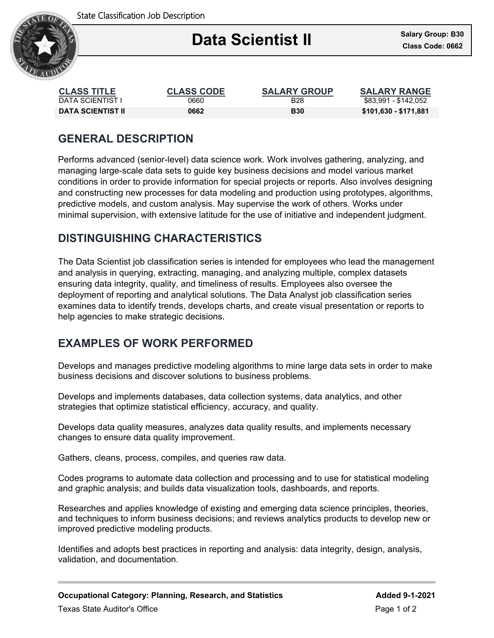State Classification Job Description



#### Ξ **Data Scientist II**

| <b>CLASS TITLE</b> | <b>CLASS CODE</b> | <b>SALARY GROUP</b> | <b>SALARY RANGE</b>   |
|--------------------|-------------------|---------------------|-----------------------|
| DATA SCIENTIST I   | 0660              | <b>B28</b>          | \$83.991 - \$142.052  |
| DATA SCIENTIST II  | 0662              | <b>B30</b>          | \$101,630 - \$171,881 |

# **GENERAL DESCRIPTION**

Performs advanced (senior-level) data science work. Work involves gathering, analyzing, and managing large-scale data sets to guide key business decisions and model various market conditions in order to provide information for special projects or reports. Also involves designing and constructing new processes for data modeling and production using prototypes, algorithms, predictive models, and custom analysis. May supervise the work of others. Works under minimal supervision, with extensive latitude for the use of initiative and independent judgment.

## **DISTINGUISHING CHARACTERISTICS**

The Data Scientist job classification series is intended for employees who lead the management and analysis in querying, extracting, managing, and analyzing multiple, complex datasets ensuring data integrity, quality, and timeliness of results. Employees also oversee the deployment of reporting and analytical solutions. The Data Analyst job classification series examines data to identify trends, develops charts, and create visual presentation or reports to help agencies to make strategic decisions.

### **EXAMPLES OF WORK PERFORMED**

Develops and manages predictive modeling algorithms to mine large data sets in order to make business decisions and discover solutions to business problems.

Develops and implements databases, data collection systems, data analytics, and other strategies that optimize statistical efficiency, accuracy, and quality.

Develops data quality measures, analyzes data quality results, and implements necessary changes to ensure data quality improvement.

Gathers, cleans, process, compiles, and queries raw data.

Codes programs to automate data collection and processing and to use for statistical modeling and graphic analysis; and builds data visualization tools, dashboards, and reports.

Researches and applies knowledge of existing and emerging data science principles, theories, and techniques to inform business decisions; and reviews analytics products to develop new or improved predictive modeling products.

Identifies and adopts best practices in reporting and analysis: data integrity, design, analysis, validation, and documentation.